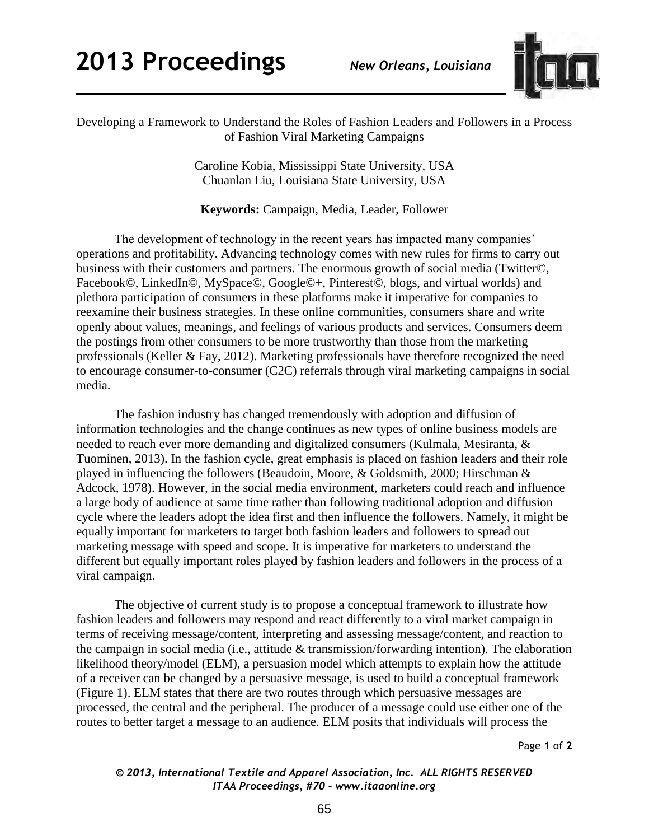

Developing a Framework to Understand the Roles of Fashion Leaders and Followers in a Process of Fashion Viral Marketing Campaigns

> Caroline Kobia, Mississippi State University, USA Chuanlan Liu, Louisiana State University, USA

**Keywords:** Campaign, Media, Leader, Follower

The development of technology in the recent years has impacted many companies' operations and profitability. Advancing technology comes with new rules for firms to carry out business with their customers and partners. The enormous growth of social media (Twitter©, Facebook©, LinkedIn©, MySpace©, Google©+, Pinterest©, blogs, and virtual worlds) and plethora participation of consumers in these platforms make it imperative for companies to reexamine their business strategies. In these online communities, consumers share and write openly about values, meanings, and feelings of various products and services. Consumers deem the postings from other consumers to be more trustworthy than those from the marketing professionals [\(Keller & Fay, 2012\)](#page-1-0). Marketing professionals have therefore recognized the need to encourage consumer-to-consumer (C2C) referrals through viral marketing campaigns in social media.

The fashion industry has changed tremendously with adoption and diffusion of information technologies and the change continues as new types of online business models are needed to reach ever more demanding and digitalized consumers (Kulmala, Mesiranta, & Tuominen, 2013). In the fashion cycle, great emphasis is placed on fashion leaders and their role played in influencing the followers (Beaudoin, Moore, & Goldsmith, 2000; Hirschman & Adcock, 1978). However, in the social media environment, marketers could reach and influence a large body of audience at same time rather than following traditional adoption and diffusion cycle where the leaders adopt the idea first and then influence the followers. Namely, it might be equally important for marketers to target both fashion leaders and followers to spread out marketing message with speed and scope. It is imperative for marketers to understand the different but equally important roles played by fashion leaders and followers in the process of a viral campaign.

The objective of current study is to propose a conceptual framework to illustrate how fashion leaders and followers may respond and react differently to a viral market campaign in terms of receiving message/content, interpreting and assessing message/content, and reaction to the campaign in social media (i.e., attitude & transmission/forwarding intention). The elaboration likelihood theory/model (ELM), a persuasion model which attempts to explain how the attitude of a receiver can be changed by a persuasive message, is used to build a conceptual framework (Figure 1). ELM states that there are two routes through which persuasive messages are processed, the central and the peripheral. The producer of a message could use either one of the routes to better target a message to an audience. ELM posits that individuals will process the

Page **1** of **2** 

## *© 2013, International Textile and Apparel Association, Inc. ALL RIGHTS RESERVED ITAA Proceedings, #70 – www.itaaonline.org*